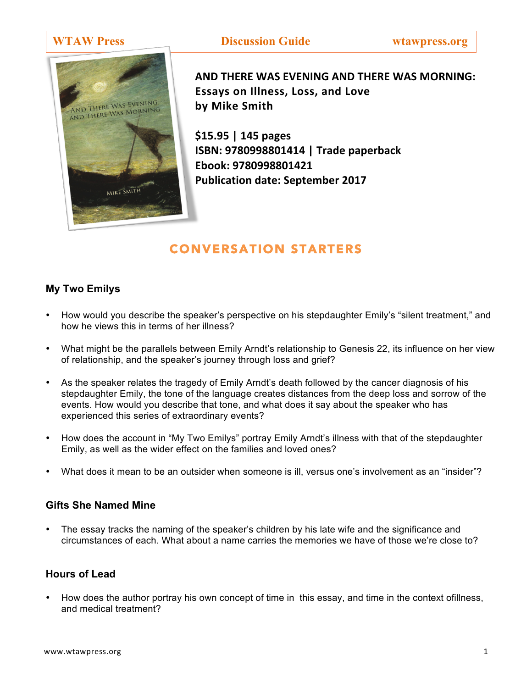

**WTAW Press Discussion Guide wtawpress.org**

**AND THERE WAS EVENING AND THERE WAS MORNING: Essays on Illness, Loss, and Love by Mike Smith**

**\$15.95 | 145 pages ISBN: 9780998801414 | Trade paperback Ebook: 9780998801421 Publication date: September 2017** 

# CONVERSATION STARTERS

### **My Two Emilys**

- How would you describe the speaker's perspective on his stepdaughter Emily's "silent treatment," and how he views this in terms of her illness?
- What might be the parallels between Emily Arndt's relationship to Genesis 22, its influence on her view of relationship, and the speaker's journey through loss and grief?
- As the speaker relates the tragedy of Emily Arndt's death followed by the cancer diagnosis of his stepdaughter Emily, the tone of the language creates distances from the deep loss and sorrow of the events. How would you describe that tone, and what does it say about the speaker who has experienced this series of extraordinary events?
- How does the account in "My Two Emilys" portray Emily Arndt's illness with that of the stepdaughter Emily, as well as the wider effect on the families and loved ones?
- What does it mean to be an outsider when someone is ill, versus one's involvement as an "insider"?

### **Gifts She Named Mine**

• The essay tracks the naming of the speaker's children by his late wife and the significance and circumstances of each. What about a name carries the memories we have of those we're close to?

# **Hours of Lead**

• How does the author portray his own concept of time in this essay, and time in the context ofillness, and medical treatment?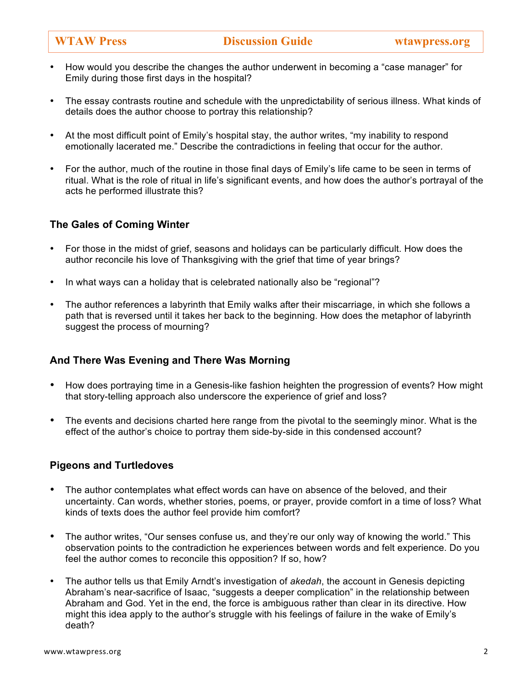- How would you describe the changes the author underwent in becoming a "case manager" for Emily during those first days in the hospital?
- The essay contrasts routine and schedule with the unpredictability of serious illness. What kinds of details does the author choose to portray this relationship?
- At the most difficult point of Emily's hospital stay, the author writes, "my inability to respond emotionally lacerated me." Describe the contradictions in feeling that occur for the author.
- For the author, much of the routine in those final days of Emily's life came to be seen in terms of ritual. What is the role of ritual in life's significant events, and how does the author's portrayal of the acts he performed illustrate this?

### **The Gales of Coming Winter**

- For those in the midst of grief, seasons and holidays can be particularly difficult. How does the author reconcile his love of Thanksgiving with the grief that time of year brings?
- In what ways can a holiday that is celebrated nationally also be "regional"?
- The author references a labyrinth that Emily walks after their miscarriage, in which she follows a path that is reversed until it takes her back to the beginning. How does the metaphor of labyrinth suggest the process of mourning?

### **And There Was Evening and There Was Morning**

- How does portraying time in a Genesis-like fashion heighten the progression of events? How might that story-telling approach also underscore the experience of grief and loss?
- The events and decisions charted here range from the pivotal to the seemingly minor. What is the effect of the author's choice to portray them side-by-side in this condensed account?

### **Pigeons and Turtledoves**

- The author contemplates what effect words can have on absence of the beloved, and their uncertainty. Can words, whether stories, poems, or prayer, provide comfort in a time of loss? What kinds of texts does the author feel provide him comfort?
- The author writes, "Our senses confuse us, and they're our only way of knowing the world." This observation points to the contradiction he experiences between words and felt experience. Do you feel the author comes to reconcile this opposition? If so, how?
- The author tells us that Emily Arndt's investigation of *akedah*, the account in Genesis depicting Abraham's near-sacrifice of Isaac, "suggests a deeper complication" in the relationship between Abraham and God. Yet in the end, the force is ambiguous rather than clear in its directive. How might this idea apply to the author's struggle with his feelings of failure in the wake of Emily's death?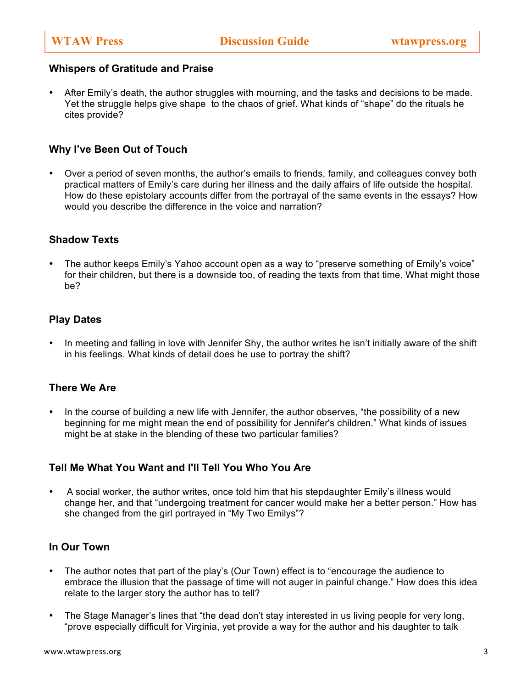#### **Whispers of Gratitude and Praise**

• After Emily's death, the author struggles with mourning, and the tasks and decisions to be made. Yet the struggle helps give shape to the chaos of grief. What kinds of "shape" do the rituals he cites provide?

# **Why I've Been Out of Touch**

• Over a period of seven months, the author's emails to friends, family, and colleagues convey both practical matters of Emily's care during her illness and the daily affairs of life outside the hospital. How do these epistolary accounts differ from the portrayal of the same events in the essays? How would you describe the difference in the voice and narration?

# **Shadow Texts**

• The author keeps Emily's Yahoo account open as a way to "preserve something of Emily's voice" for their children, but there is a downside too, of reading the texts from that time. What might those be?

# **Play Dates**

In meeting and falling in love with Jennifer Shy, the author writes he isn't initially aware of the shift in his feelings. What kinds of detail does he use to portray the shift?

### **There We Are**

• In the course of building a new life with Jennifer, the author observes, "the possibility of a new beginning for me might mean the end of possibility for Jennifer's children." What kinds of issues might be at stake in the blending of these two particular families?

### **Tell Me What You Want and I'll Tell You Who You Are**

• A social worker, the author writes, once told him that his stepdaughter Emily's illness would change her, and that "undergoing treatment for cancer would make her a better person." How has she changed from the girl portrayed in "My Two Emilys"?

#### **In Our Town**

- The author notes that part of the play's (Our Town) effect is to "encourage the audience to embrace the illusion that the passage of time will not auger in painful change." How does this idea relate to the larger story the author has to tell?
- The Stage Manager's lines that "the dead don't stay interested in us living people for very long, "prove especially difficult for Virginia, yet provide a way for the author and his daughter to talk